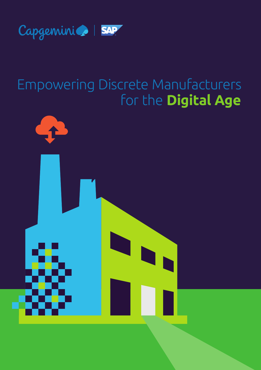

# Empowering Discrete Manufacturers for the **Digital Age**

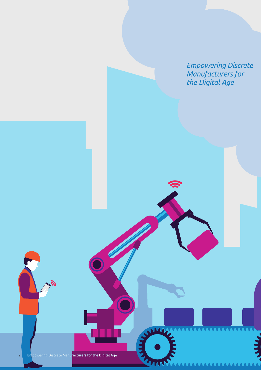*Empowering Discrete Manufacturers for the Digital Age*

**MA** 

ì

W

WW

**AAAAAAAAAAAAAAAAAAA**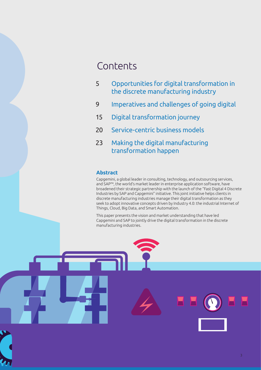## **Contents**

- 5 Opportunities for digital transformation in the discrete manufacturing industry
- 9 Imperatives and challenges of going digital
- 15 Digital transformation journey
- 20 Service-centric business models
- 23 Making the digital manufacturing transformation happen

## **Abstract**

Capgemini, a global leader in consulting, technology, and outsourcing services, and SAP™, the world's market leader in enterprise application software, have broadened their strategic partnership with the launch of the "Fast Digital 4 Discrete Industries by SAP and Capgemini" initiative. This joint initiative helps clients in discrete manufacturing industries manage their digital transformation as they seek to adopt innovative concepts driven by Industry 4.0: the industrial Internet of Things, Cloud, Big Data, and Smart Automation.

This paper presents the vision and market understanding that have led Capgemini and SAP to jointly drive the digital transformation in the discrete manufacturing industries.

3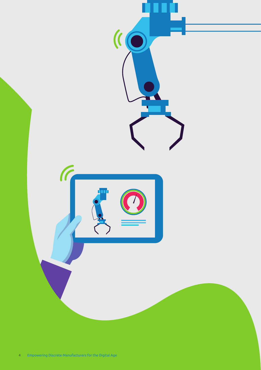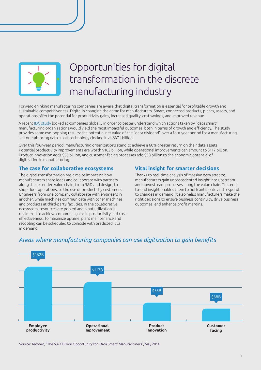

# Opportunities for digital transformation in the discrete manufacturing industry

Forward-thinking manufacturing companies are aware that digital transformation is essential for profitable growth and sustainable competitiveness. Digital is changing the game for manufacturers. Smart, connected products, plants, assets, and operations offer the potential for productivity gains, increased quality, cost savings, and improved revenue.

A recent IDC study looked at companies globally in order to better understand which actions taken by "data smart" manufacturing organizations would yield the most impactful outcomes, both in terms of growth and efficiency. The study provides some eye-popping results: the potential net value of the "data dividend" over a four-year period for a manufacturing sector embracing data smart technology clocked in at \$371 billion.

Over this four-year period, manufacturing organizations stand to achieve a 60% greater return on their data assets. Potential productivity improvements are worth \$162 billion, while operational improvements can amount to \$117 billion. Product innovation adds \$55 billion, and customer-facing processes add \$38 billion to the economic potential of digitization in manufacturing.

## **The case for collaborative ecosystems**

The digital transformation has a major impact on how manufacturers share ideas and collaborate with partners along the extended value chain, from R&D and design, to shop floor operations, to the use of products by customers. Engineers from one company collaborate with engineers in another, while machines communicate with other machines and products at third-party facilities. In the collaborative ecosystem, resources are pooled and plant utilization is optimized to achieve communal gains in productivity and cost effectiveness. To maximize uptime, plant maintenance and retooling can be scheduled to coincide with predicted lulls in demand.

## **Vital insight for smarter decisions**

Thanks to real-time analysis of massive data streams, manufacturers gain unprecedented insight into upstream and downstream processes along the value chain. This endto-end insight enables them to both anticipate and respond to changes in demand. It also helps manufacturers make the right decisions to ensure business continuity, drive business outcomes, and enhance profit margins.



## *Areas where manufacturing companies can use digitization to gain benefits*

Source: Technet, "The \$371 Billion Opportunity for 'Data Smart' Manufacturers", May 2014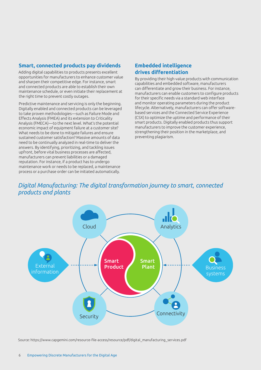## **Smart, connected products pay dividends**

Adding digital capabilities to products presents excellent opportunities for manufacturers to enhance customer value and sharpen their competitive edge. For instance, smart and connected products are able to establish their own maintenance schedule, or even initiate their replacement at the right time to prevent costly outages.

Predictive maintenance and servicing is only the beginning. Digitally enabled and connected products can be leveraged to take proven methodologies—such as Failure Mode and Effects Analysis (FMEA) and its extension to Criticality Analysis (FMECA)—to the next level. What's the potential economic impact of equipment failure at a customer site? What needs to be done to mitigate failures and ensure sustained customer satisfaction? Massive amounts of data need to be continually analyzed in real-time to deliver the answers. By identifying, prioritizing, and tackling issues upfront, before vital business processes are affected, manufacturers can prevent liabilities or a damaged reputation. For instance, if a product has to undergo maintenance work or needs to be replaced, a maintenance process or a purchase order can be initiated automatically.

## **Embedded intelligence drives differentiation**

By providing their high-value products with communication capabilities and embedded software, manufacturers can differentiate and grow their business. For instance, manufacturers can enable customers to configure products for their specific needs via a standard web interface and monitor operating parameters during the product lifecycle. Alternatively, manufacturers can offer softwarebased services and the Connected Service Experience (CSX) to optimize the uptime and performance of their smart products. Digitally enabled products thus support manufacturers to improve the customer experience, strengthening their position in the marketplace, and preventing plagiarism.

## *Digital Manufacturing: The digital transformation journey to smart, connected products and plants*



Source: https://www.capgemini.com/resource-file-access/resource/pdf/digital\_manufacturing\_services.pdf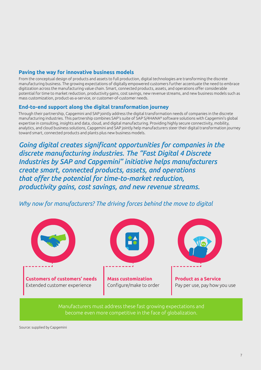## **Paving the way for innovative business models**

From the conceptual design of products and assets to full production, digital technologies are transforming the discrete manufacturing business. The growing expectations of digitally empowered customers further accentuate the need to embrace digitization across the manufacturing value chain. Smart, connected products, assets, and operations offer considerable potential for time to market reduction, productivity gains, cost savings, new revenue streams, and new business models such as mass customization, product-as-a-service, or customer-of-customer needs.

## **End-to-end support along the digital transformation journey**

Through their partnership, Capgemini and SAP jointly address the digital transformation needs of companies in the discrete manufacturing industries. This partnership combines SAP's suite of SAP S/4HANA® software solutions with Capgemini's global expertise in consulting, insights and data, cloud, and digital manufacturing. Providing highly secure connectivity, mobility, analytics, and cloud business solutions, Capgemini and SAP jointly help manufacturers steer their digital transformation journey toward smart, connected products and plants plus new business models.

*Going digital creates significant opportunities for companies in the discrete manufacturing industries. The "Fast Digital 4 Discrete Industries by SAP and Capgemini" initiative helps manufacturers create smart, connected products, assets, and operations that offer the potential for time-to-market reduction, productivity gains, cost savings, and new revenue streams.*

*Why now for manufacturers? The driving forces behind the move to digital*



Manufacturers must address these fast growing expectations and become even more competitive in the face of globalization.

Source: supplied by Capgemini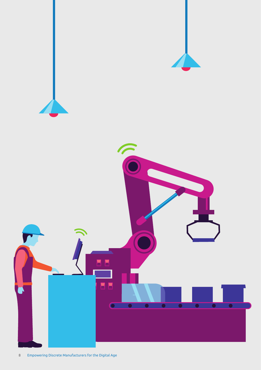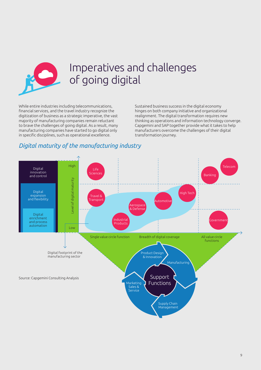

# Imperatives and challenges of going digital

While entire industries including telecommunications, financial services, and the travel industry recognize the digitization of business as a strategic imperative, the vast majority of manufacturing companies remain reluctant to brave the challenges of going digital. As a result, many manufacturing companies have started to go digital only in specific disciplines, such as operational excellence.

Sustained business success in the digital economy hinges on both company initiative and organizational realignment. The digital transformation requires new thinking as operations and information technology converge. Capgemini and SAP together provide what it takes to help manufacturers overcome the challenges of their digital transformation journey.

## *Digital maturity of the manufacturing industry*

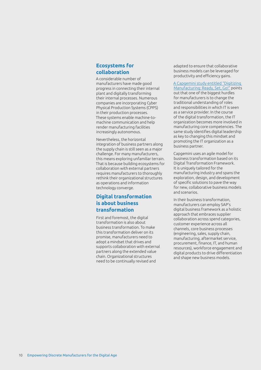## **Ecosystems for collaboration**

A considerable number of manufacturers have made good progress in connecting their internal plant and digitally transforming their internal processes. Numerous companies are incorporating Cyber Physical Production Systems (CPPS) in their production processes. These systems enable machine-tomachine communication and help render manufacturing facilities increasingly autonomous.

Nevertheless, the horizontal integration of business partners along the supply chain is still seen as a major challenge. For many manufacturers, this means exploring unfamiliar terrain. That is because building ecosystems for collaboration with external partners requires manufacturers to thoroughly rethink their organizational structures as operations and information technology converge.

## **Digital transformation is about business transformation**

First and foremost, the digital transformation is also about business transformation. To make this transformation deliver on its promise, manufacturers need to adopt a mindset that drives and supports collaboration with external partners along the extended value chain. Organizational structures need to be continually revised and

adapted to ensure that collaborative business models can be leveraged for productivity and efficiency gains.

#### A Capgemini study entitled "Digitizing Manufacturing: Ready, Set, Go!" points out that one of the biggest hurdles for manufacturers is to change the traditional understanding of roles and responsibilities in which IT is seen as a service provider. In the course of the digital transformation, the IT organization becomes more involved in manufacturing core competencies. The same study identifies digital leadership as key to changing this mindset and promoting the IT organization as a business partner.

Capgemini uses an agile model for business transformation based on its Digital Transformation Framework. It is uniquely tailored for the manufacturing industry and spans the exploration, design, and development of specific solutions to pave the way for new, collaborative business models and scenarios.

In their business transformation, manufacturers can employ SAP's digital business framework as a holistic approach that embraces supplier collaboration across spend categories, customer experience across all channels, core business processes (engineering, sales, supply chain, manufacturing, aftermarket service, procurement, finance, IT, and human resources), workforce engagement and digital products to drive differentiation and shape new business models.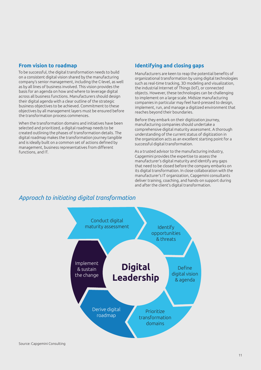## **From vision to roadmap**

To be successful, the digital transformation needs to build on a consistent digital vision shared by the manufacturing company's senior management, including the C-level, as well as by all lines of business involved. This vision provides the basis for an agenda on how and where to leverage digital across all business functions. Manufacturers should design their digital agenda with a clear outline of the strategic business objectives to be achieved. Commitment to these objectives by all management layers must be ensured before the transformation process commences.

When the transformation domains and initiatives have been selected and prioritized, a digital roadmap needs to be created outlining the phases of transformation details. The digital roadmap makes the transformation journey tangible and is ideally built on a common set of actions defined by management, business representatives from different functions, and IT.

## **Identifying and closing gaps**

Manufacturers are keen to reap the potential benefits of organizational transformation by using digital technologies such as real-time tracking, 3D modeling and visualization, the industrial Internet of Things (IoT), or connected objects. However, these technologies can be challenging to implement on a large scale. Midsize manufacturing companies in particular may feel hard-pressed to design, implement, run, and manage a digitized environment that reaches beyond their boundaries.

Before they embark on their digitization journey, manufacturing companies should undertake a comprehensive digital maturity assessment. A thorough understanding of the current status of digitization in the organization acts as an excellent starting point for a successful digital transformation.

As a trusted advisor to the manufacturing industry, Capgemini provides the expertise to assess the manufacturer's digital maturity and identify any gaps that need to be closed before the company embarks on its digital transformation. In close collaboration with the manufacturer's IT organization, Capgemini consultants deliver training, coaching, and hands-on support during and after the client's digital transformation.

## *Approach to initiating digital transformation*

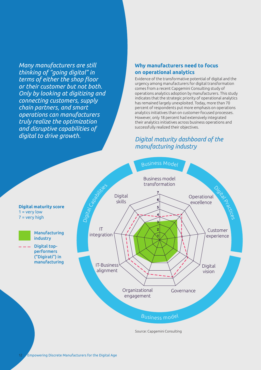*Many manufacturers are still thinking of "going digital" in terms of either the shop floor or their customer but not both. Only by looking at digitizing and connecting customers, supply chain partners, and smart operations can manufacturers truly realize the optimization and disruptive capabilities of digital to drive growth.*

## **Why manufacturers need to focus on operational analytics**

Evidence of the transformative potential of digital and the urgency among manufacturers for digital transformation comes from a recent Capgemini Consulting study of operations analytics adoption by manufacturers. This study indicates that the strategic priority of operational analytics has remained largely unexploited. Today, more than 70 percent of respondents put more emphasis on operations analytics initiatives than on customer-focused processes. However, only 18 percent had extensively integrated their analytics initiatives across business operations and successfully realized their objectives.

## *Digital maturity dashboard of the manufacturing industry*

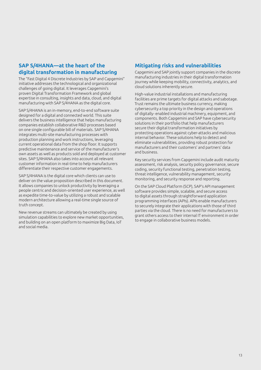## **SAP S/4HANA—at the heart of the digital transformation in manufacturing**

The "Fast Digital 4 Discrete Industries by SAP and Capgemini" initiative addresses the technological and organizational challenges of going digital. It leverages Capgemini's proven Digital Transformation Framework and global expertise in consulting, insights and data, cloud, and digital manufacturing with SAP S/4HANA as the digital core.

SAP S/4HANA is an in-memory, end-to-end software suite designed for a digital and connected world. This suite delivers the business intelligence that helps manufacturing companies establish collaborative R&D processes based on one single configurable bill of materials. SAP S/4HANA integrates multi-site manufacturing processes with production planning and work instructions, leveraging current operational data from the shop floor. It supports predictive maintenance and service of the manufacturer's own assets as well as products sold and deployed at customer sites. SAP S/4HANA also takes into account all relevant customer information in real-time to help manufacturers differentiate their respective customer engagements.

SAP S/4HANA is the digital core which clients can use to deliver on the value proposition described in this document. It allows companies to unlock productivity by leveraging a people centric and decision-oriented user experience, as well as expedite time-to-value by utilizing a robust and scalable modern architecture allowing a real-time single source of truth concept.

New revenue streams can ultimately be created by using simulation capabilities to explore new market opportunities, and building on an open platform to maximize Big Data, IoT and social media.

## **Mitigating risks and vulnerabilities**

Capgemini and SAP jointly support companies in the discrete manufacturing industries in their digital transformation journey while keeping mobility, connectivity, analytics, and cloud solutions inherently secure.

High-value industrial installations and manufacturing facilities are prime targets for digital attacks and sabotage. Trust remains the ultimate business currency, making cybersecurity a top priority in the design and operations of digitally- enabled industrial machinery, equipment, and components. Both Capgemini and SAP have cybersecurity solutions in their portfolio that help manufacturers secure their digital transformation initiatives by protecting operations against cyber-attacks and malicious internal behavior. These solutions help to detect and eliminate vulnerabilities, providing robust protection for manufacturers and their customers' and partners' data and business.

Key security services from Capgemini include audit maturity assessment, risk analysis, security policy governance, secure coding, security functional testing, penetration testing, threat intelligence, vulnerability management, security monitoring, and security response and reporting.

On the SAP Cloud Platform (SCP), SAP's API management software provides simple, scalable, and secure access to digital assets through straightforward application programming interfaces (APIs). APIs enable manufacturers to securely integrate their applications with those of third parties via the cloud. There is no need for manufacturers to grant others access to their internal IT environment in order to engage in collaborative business models.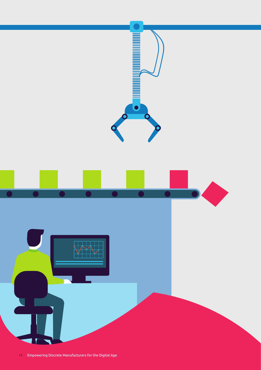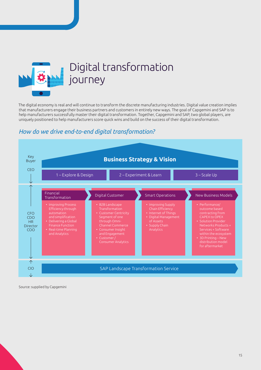#### Digital transformation journey 01010101010 10101010101 **A** A 10 10101010101 010101010 10101010101

The digital economy is real and will continue to transform the discrete manufacturing industries. Digital value creation implies that manufacturers engage their business partners and customers in entirely new ways. The goal of Capgemini and SAP is to help manufacturers successfully master their digital transformation. Together, Capgemini and SAP, two global players, are uniquely positioned to help manufacturers score quick wins and build on the success of their digital transformation.

## *How do we drive end-to-end digital transformation?*



Source: supplied by Capgemini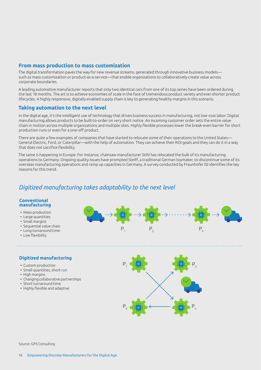## **From mass production to mass customization**

The digital transformation paves the way for new revenue streams, generated through innovative business models such as mass customization or product-as-a-service—that enable organizations to collaboratively create value across corporate boundaries.

A leading automotive manufacturer reports that only two identical cars from one of its top series have been ordered during the last 18 months. The art is to achieve economies of scale in the face of tremendous product variety and ever-shorter product lifecycles. A highly responsive, digitally enabled supply chain is key to generating healthy margins in this scenario.

## **Taking automation to the next level**

In the digital age, it's the intelligent use of technology that drives business success in manufacturing, not low-cost labor. Digital manufacturing allows products to be built-to-order on very short notice. An incoming customer order sets the entire value chain in motion across multiple organizations and multiple sites. Highly flexible processes lower the break-even barrier for short production runs or even for a one-off product.

There are quite a few examples of companies that have started to relocate some of their operations to the United States— General Electric, Ford, or Caterpillar—with the help of automation. They can achieve their ROI goals and they can do it in a way that does not sacrifice flexibility.

The same is happening in Europe. For instance, chainsaw manufacturer Stihl has relocated the bulk of its manufacturing operations to Germany. Ongoing quality issues have prompted Steiff, a traditional German toymaker, to discontinue some of its overseas manufacturing operations and ramp up capacities in Germany. A survey conducted by Fraunhofer ISI identifies the key reasons for this trend.

## *Digitized manufacturing takes adaptability to the next level*

#### **Conventional manufacturing**

- Mass production
- Large quantities
- Small margins
- Sequential value chain
- Long turnaround time
- Low flexibility

## **Digitized manufacturing**

- Custom production
- Small quantities, short run
- High margins
- Changing collaborative partnerships
- Short turnaround time
- Highly flexible and adaptive





Source: GPS Consulting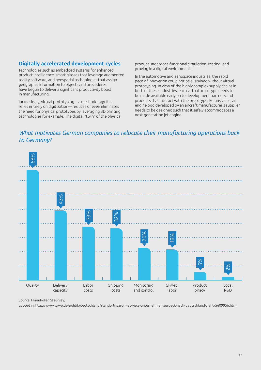## **Digitally accelerated development cycles**

Technologies such as embedded systems for enhanced product intelligence, smart glasses that leverage augmented reality software, and geospatial technologies that assign geographic information to objects and procedures have begun to deliver a significant productivity boost in manufacturing.

Increasingly, virtual prototyping—a methodology that relies entirely on digitization—reduces or even eliminates the need for physical prototypes by leveraging 3D printing technologies for example. The digital "twin" of the physical product undergoes functional simulation, testing, and proving in a digital environment.

In the automotive and aerospace industries, the rapid pace of innovation could not be sustained without virtual prototyping. In view of the highly complex supply chains in both of these industries, each virtual prototype needs to be made available early on to development partners and products that interact with the prototype. For instance, an engine pod developed by an aircraft manufacturer's supplier needs to be designed such that it safely accommodates a next-generation jet engine.

## *What motivates German companies to relocate their manufacturing operations back to Germany?*



Source: Fraunhofer ISI survey,

quoted in: http://www.wiwo.de/politik/deutschland/standort-warum-es-viele-unternehmen-zurueck-nach-deutschland-zieht/5609956.html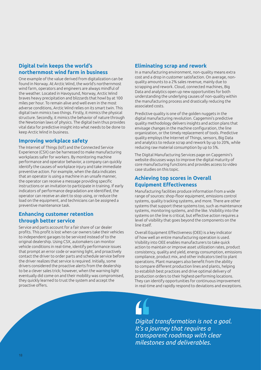## **Digital twin keeps the world's northernmost wind farm in business**

One example of the value derived from digitalization can be found in Norway. At Arctic Wind, the world's northernmost wind farm, operators and engineers are always mindful of the weather. Located in Havoysund, Norway, Arctic Wind braves heavy precipitation and blizzards that howl by at 100 miles per hour. To remain alive and well even in the most adverse conditions, Arctic Wind relies on its smart twin. This digital twin mimics two things. Firstly, it mimics the physical structure. Secondly, it mimics the behavior of nature through the Newtonian laws of physics. The digital twin thus provides vital data for predictive insight into what needs to be done to keep Arctic Wind in business.

## **Improving workplace safety**

The Internet of Things (IoT) and the Connected Service Experience (CSX) can be harnessed to make manufacturing workplaces safer for workers. By monitoring machine performance and operator behavior, a company can quickly identify the causes of workplace injury and take immediate preventive action. For example, when the data indicates that an operator is using a machine in an unsafe manner, the operator can receive a message providing specific instructions or an invitation to participate in training. If early indicators of performance degradation are identified, the operator can receive an alert to stop using, or reduce the load on the equipment, and technicians can be assigned a preventive maintenance task.

## **Enhancing customer retention through better service**

Service and parts account for a fair share of car dealer profits. This profit is lost when car owners take their vehicles to independent garages to be serviced instead of to the original dealership. Using CSX, automakers can monitor vehicle conditions in real-time, identify performance issues that prompt an error code or warning light, and proactively contact the driver to order parts and schedule service before the driver realizes that service is required. Initially, some drivers considered the proactive alerts from the dealership to be a clever sales trick; however, when the warning light eventually did come on and their mobility was compromised, they quickly learned to trust the system and accept the proactive offers.

## **Eliminating scrap and rework**

In a manufacturing environment, non-quality means extra cost and a drop in customer satisfaction. On average, nonquality amounts to a 2% sales revenue, mainly due to scrapping and rework. Cloud, connected machines, Big Data and analytics open up new opportunities for both understanding the underlying causes of non-quality within the manufacturing process and drastically reducing the associated costs.

Predictive quality is one of the golden nuggets in the digital manufacturing revolution. Capgemini's predictive quality methodology delivers insights and action plans that envisage changes in the machine configuration, the line organization, or the timely replacement of tools. Predictive quality employs the Internet of Things, sensors, Big Data and analytics to reduce scrap and rework by up to 20%, while reducing raw material consumption by up to 5%.

The Digital Manufacturing Services page on Capgemini's website discusses ways to improve the digital maturity of core manufacturing functions and provides access to video case studies on this topic.

## **Achieving top scores in Overall Equipment Effectiveness**

Manufacturing facilities produce information from a wide range of sources: shop-floor equipment, emissions control systems, quality tracking systems, and more. There are other systems that support these systems too, such as maintenance systems, monitoring systems, and the like. Visibility into the systems on the line is critical, but effective action requires a level of visibility that goes beyond the components on the line itself.

Overall Equipment Effectiveness (OEE) is a key indicator of how well an entire manufacturing operation is used. Visibility into OEE enables manufacturers to take quick action to maintain or improve asset utilization rates, product consistency, quality and yield, energy consumption, emissions compliance, product mix, and other indicators tied to plant operations. Plant managers also benefit from the ability to compare different production lines and plants, helping to establish best practices and drive optimal delivery of production orders to their highest-performing locations. They can identify opportunities for continuous improvement in real-time and rapidly respond to deviations and exceptions.

*Digital transformation is not a goal. It's a journey that requires a transparent roadmap with clear milestones and deliverables.*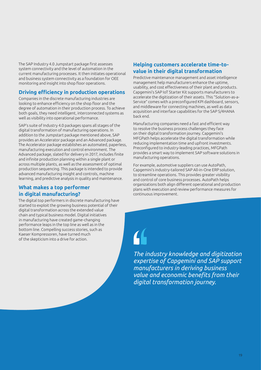The SAP Industry 4.0 Jumpstart package first assesses system connectivity and the level of automation in the current manufacturing processes. It then initiates operational and business system connectivity as a foundation for OEE monitoring and insight into shop floor operations.

## **Driving efficiency in production operations**

Companies in the discrete manufacturing industries are looking to enhance efficiency on the shop floor and the degree of automation in their production process. To achieve both goals, they need intelligent, interconnected systems as well as visibility into operational performance.

SAP's suite of Industry 4.0 packages spans all stages of the digital transformation of manufacturing operations. In addition to the Jumpstart package mentioned above, SAP provides an Accelerator package and an Advanced package. The Accelerator package establishes an automated, paperless, manufacturing execution and control environment. The Advanced package, slated for delivery in 2017, includes finite and infinite production planning within a single plant or across multiple plants, as well as the assessment of optimal production sequencing. This package is intended to provide advanced manufacturing insight and controls, machine learning, and predictive analysis in quality and maintenance.

## **What makes a top performer in digital manufacturing?**

The digital top performers in discrete manufacturing have started to exploit the growing business potential of their digital transformation across the extended value chain and typical business model. Digital initiatives in manufacturing have created game-changing performance leaps in the top line as well as in the bottom line. Compelling success stories, such as Kaeser Kompressoren, have turned much of the skepticism into a drive for action.

## **Helping customers accelerate time-tovalue in their digital transformation**

Predictive maintenance management and asset intelligence management help manufacturers enhance the uptime, usability, and cost effectiveness of their plant and products. Capgemini's SAP IoT Starter Kit supports manufacturers to accelerate the digitization of their assets. This "Solution-as-a-Service" comes with a preconfigured KPI dashboard, sensors, and middleware for connecting machines, as well as data acquisition and interface capabilities for the SAP S/4HANA back end.

Manufacturing companies need a fast and efficient way to resolve the business process challenges they face on their digital transformation journey. Capgemini's MFGPath helps accelerate the digital transformation while reducing implementation time and upfront investments. Preconfigured to industry-leading practices, MFGPath provides a smart way to implement SAP software solutions in manufacturing operations.

For example, automotive suppliers can use AutoPath, Capgemini's industry-tailored SAP All-in-One ERP solution, to streamline operations. This provides greater visibility and control of core business processes. AutoPath helps organizations both align different operational and production plans with execution and review performance measures for continuous improvement.

*The industry knowledge and digitization expertise of Capgemini and SAP support manufacturers in deriving business value and economic benefits from their digital transformation journey.*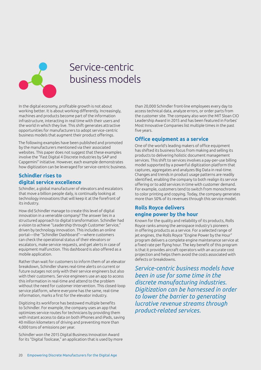

# Service-centric business models

In the digital economy, profitable growth is not about working better. It is about working differently. Increasingly, machines and products become part of the information infrastructure, interacting in real time with their users and the world in which they live. This shift generates attractive opportunities for manufacturers to adopt service-centric business models that augment their product offerings.

The following examples have been published and promoted by the manufacturers mentioned via their associated websites. This paper does not suggest that these examples involve the "Fast Digital 4 Discrete Industries by SAP and Capgemini" initiative. However, each example demonstrates how digitization can be leveraged for service-centric business.

## **Schindler rises to digital service excellence**

Schindler, a global manufacturer of elevators and escalators that move a billion people daily, is continually looking at technology innovations that will keep it at the forefront of its industry.

How did Schindler manage to create this level of digital innovation in a venerable company? The answer lies in a structured approach to digital transformation. Schindler had a vision to achieve "Leadership through Customer Service," driven by technology innovation. This includes an online portal—the "Schindler Dashboard"—where customers can check the operational status of their elevators or escalators, make service requests, and get alerts in case of equipment malfunction. This dashboard is also offered as a mobile application.

Rather than wait for customers to inform them of an elevator breakdown, Schindler shares real-time alerts on current or future outages not only with their service engineers but also with their customers. Service engineers use an app to access this information in real-time and attend to the problem without the need for customer intervention. This closed-loop service platform, where everyone has the same, real-time information, marks a first for the elevator industry.

Digitizing its workforce has bestowed multiple benefits to Schindler. For example, the company uses an app that optimizes service routes for technicians by providing them with instant access to data on both iPhones and iPads, saving 40 million kilometers of driving and preventing more than 4,000 tons of emissions per year.

Schindler won the 2015 Digital Business Innovation Award for its "Digital Toolcase," an application that is used by more than 20,000 Schindler front-line employees every day to access technical data, analyze errors, or order parts from the customer site. The company also won the MIT Sloan CIO Leadership Award in 2015 and has been featured in Forbes' Most Innovative Companies list multiple times in the past five years.

## **Office equipment as a service**

One of the world's leading makers of office equipment has shifted its business focus from making and selling its products to delivering holistic document management services. This shift to services involves a pay-per-use billing model supported by a powerful digitization platform that captures, aggregates and analyzes Big Data in real-time. Changes and trends in product usage patterns are readily identified, enabling the company to both realign its service offering or to add services in time with customer demand. For example, customers tend to switch from monochrome to color printing and copying. Today, the company generates more than 50% of its revenues through this service model.

## **Rolls Royce delivers engine power by the hour**

Known for the quality and reliability of its products, Rolls Royce ranks among the aerospace industry's pioneers in offering products as a service. For a selected range of jet engines, the Rolls Royce "Engine Power by the Hour" program delivers a complete engine maintenance service at a fixed rate per flying hour. The key benefit of this program is that it provides aircraft operators with an accurate cost projection and helps them avoid the costs associated with defects or breakdowns.

*Service-centric business models have been in use for some time in the discrete manufacturing industries. Digitization can be harnessed in order to lower the barrier to generating lucrative revenue streams through product-related services.*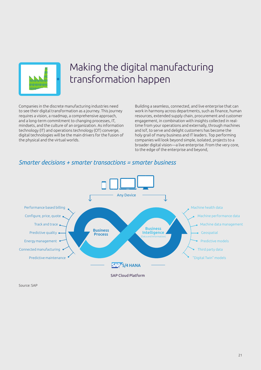

# Making the digital manufacturing transformation happen

Companies in the discrete manufacturing industries need to see their digital transformation as a journey. This journey requires a vision, a roadmap, a comprehensive approach, and a long-term commitment to changing processes, IT, mindsets, and the culture of an organization. As information technology (IT) and operations technology (OT) converge, digital technologies will be the main drivers for the fusion of the physical and the virtual worlds.

Building a seamless, connected, and live enterprise that can work in harmony across departments, such as finance, human resources, extended supply chain, procurement and customer engagement, in combination with insights collected in realtime from your operations and externally, through machines and IoT, to serve and delight customers has become the holy grail of many business and IT leaders. Top performing companies will look beyond simple, isolated, projects to a broader digital vision—a live enterprise. From the very core, to the edge of the enterprise and beyond,

## *Smarter decisions + smarter transactions = smarter business*



Source: SAP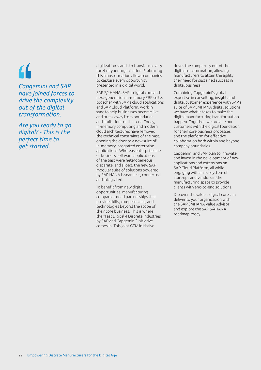# $\mathbf{1}$

*Capgemini and SAP have joined forces to drive the complexity out of the digital transformation.*

*Are you ready to go digital? - This is the perfect time to get started.*

digitization stands to transform every facet of your organization. Embracing this transformation allows companies to capture every opportunity presented in a digital world.

SAP S/4HANA, SAP's digital core and next-generation in-memory ERP suite, together with SAP's cloud applications and SAP Cloud Platform, work in sync to help businesses become live and break away from boundaries and limitations of the past. Today, in-memory computing and modern cloud architectures have removed the technical constraints of the past, opening the door to a new suite of in-memory integrated enterprise applications. Whereas enterprise line of business software applications of the past were heterogeneous, disparate, and siloed, the new SAP modular suite of solutions powered by SAP HANA is seamless, connected, and integrated.

To benefit from new digital opportunities, manufacturing companies need partnerships that provide skills, competencies, and technologies beyond the scope of their core business. This is where the "Fast Digital 4 Discrete Industries by SAP and Capgemini" initiative comes in. This joint GTM initiative

drives the complexity out of the digital transformation, allowing manufacturers to attain the agility they need for sustained success in digital business.

Combining Capgemini's global expertise in consulting, insight, and digital customer experience with SAP's suite of SAP S/4HANA digital solutions, we have what it takes to make the digital manufacturing transformation happen. Together, we provide our customers with the digital foundation for their core business processes and the platform for effective collaboration both within and beyond company boundaries.

Capgemini and SAP plan to innovate and invest in the development of new applications and extensions on SAP Cloud Platform, all while engaging with an ecosystem of start-ups and vendors in the manufacturing space to provide clients with end-to-end solutions.

Discover the value a digital core can deliver to your organization with the SAP S/4HANA Value Advisor and explore the SAP S/4HANA roadmap today.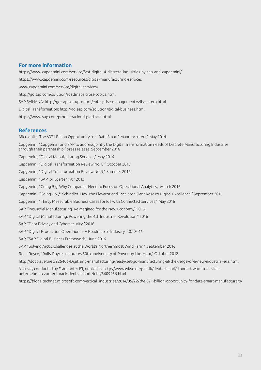## **For more information**

https://www.capgemini.com/service/fast-digital-4-discrete-industries-by-sap-and-capgemini/ https://www.capgemini.com/resources/digital-manufacturing-services www.capgemini.com/service/digital-services/ http://go.sap.com/solution/roadmaps.cross-topics.html SAP S/4HANA: http://go.sap.com/product/enterprise-management/s4hana-erp.html Digital Transformation: http://go.sap.com/solution/digital-business.html https://www.sap.com/products/cloud-platform.html

#### **References**

Microsoft, "The \$371 Billion Opportunity for "Data Smart" Manufacturers," May 2014 Capgemini, "Capgemini and SAP to address jointly the Digital Transformation needs of Discrete Manufacturing Industries through their partnership," press release, September 2016 Capgemini, "Digital Manufacturing Services," May 2016 Capgemini, "Digital Transformation Review No. 8," October 2015 Capgemini, "Digital Transformation Review No. 9," Summer 2016 Capgemini, "SAP IoT Starter Kit," 2015 Capgemini, "Going Big: Why Companies Need to Focus on Operational Analytics," March 2016 Capgemini, "Going Up @ Schindler: How the Elevator and Escalator Giant Rose to Digital Excellence," September 2016 Capgemini, "Thirty Measurable Business Cases for IoT with Connected Services," May 2016 SAP, "Industrial Manufacturing. Reimagined for the New Economy," 2016 SAP, "Digital Manufacturing. Powering the 4th Industrial Revolution," 2016 SAP, "Data Privacy and Cybersecurity," 2016 SAP, "Digital Production Operations – A Roadmap to Industry 4.0," 2016 SAP, "SAP Digital Business Framework," June 2016 SAP, "Solving Arctic Challenges at the World's Northernmost Wind Farm," September 2016 Rolls-Royce, "Rolls-Royce celebrates 50th anniversary of Power-by-the-Hour," October 2012 http://docplayer.net/226406-Digitizing-manufacturing-ready-set-go-manufacturing-at-the-verge-of-a-new-industrial-era.html

A survey conducted by Fraunhofer ISI, quoted in: http://www.wiwo.de/politik/deutschland/standort-warum-es-vieleunternehmen-zurueck-nach-deutschland-zieht/5609956.html

https://blogs.technet.microsoft.com/vertical\_industries/2014/05/22/the-371-billion-opportunity-for-data-smart-manufacturers/